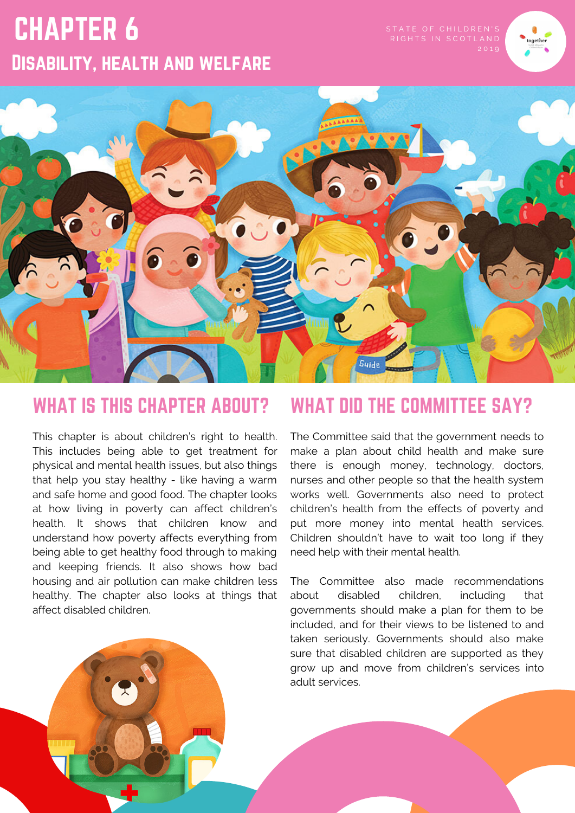# CHAPTER 6 Disability, health and welfare





This chapter is about children's right to health. This includes being able to get treatment for physical and mental health issues, but also things that help you stay healthy - like having a warm and safe home and good food. The chapter looks at how living in poverty can affect children's health. It shows that children know and understand how poverty affects everything from being able to get healthy food through to making and keeping friends. It also shows how bad housing and air pollution can make children less healthy. The chapter also looks at things that affect disabled children.

## WHAT IS THIS CHAPTER ABOUT? WHAT DID THE COMMITTEE SAY?

The Committee said that the government needs to make a plan about child health and make sure there is enough money, technology, doctors, nurses and other people so that the health system works well. Governments also need to protect children's health from the effects of poverty and put more money into mental health services. Children shouldn't have to wait too long if they need help with their mental health.

The Committee also made recommendations about disabled children, including that governments should make a plan for them to be included, and for their views to be listened to and taken seriously. Governments should also make sure that disabled children are supported as they grow up and move from children's services into adult services.